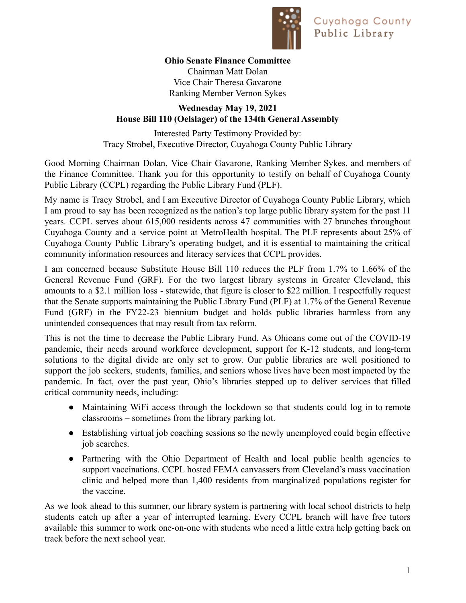

## **Ohio Senate Finance Committee**

Chairman Matt Dolan Vice Chair Theresa Gavarone Ranking Member Vernon Sykes

## **Wednesday May 19, 2021 House Bill 110 (Oelslager) of the 134th General Assembly**

Interested Party Testimony Provided by: Tracy Strobel, Executive Director, Cuyahoga County Public Library

Good Morning Chairman Dolan, Vice Chair Gavarone, Ranking Member Sykes, and members of the Finance Committee. Thank you for this opportunity to testify on behalf of Cuyahoga County Public Library (CCPL) regarding the Public Library Fund (PLF).

My name is Tracy Strobel, and I am Executive Director of Cuyahoga County Public Library, which I am proud to say has been recognized as the nation's top large public library system for the past 11 years. CCPL serves about 615,000 residents across 47 communities with 27 branches throughout Cuyahoga County and a service point at MetroHealth hospital. The PLF represents about 25% of Cuyahoga County Public Library's operating budget, and it is essential to maintaining the critical community information resources and literacy services that CCPL provides.

I am concerned because Substitute House Bill 110 reduces the PLF from 1.7% to 1.66% of the General Revenue Fund (GRF). For the two largest library systems in Greater Cleveland, this amounts to a \$2.1 million loss - statewide, that figure is closer to \$22 million. I respectfully request that the Senate supports maintaining the Public Library Fund (PLF) at 1.7% of the General Revenue Fund (GRF) in the FY22-23 biennium budget and holds public libraries harmless from any unintended consequences that may result from tax reform.

This is not the time to decrease the Public Library Fund. As Ohioans come out of the COVID-19 pandemic, their needs around workforce development, support for K-12 students, and long-term solutions to the digital divide are only set to grow. Our public libraries are well positioned to support the job seekers, students, families, and seniors whose lives have been most impacted by the pandemic. In fact, over the past year, Ohio's libraries stepped up to deliver services that filled critical community needs, including:

- Maintaining WiFi access through the lockdown so that students could log in to remote classrooms – sometimes from the library parking lot.
- Establishing virtual job coaching sessions so the newly unemployed could begin effective job searches.
- Partnering with the Ohio Department of Health and local public health agencies to support vaccinations. CCPL hosted FEMA canvassers from Cleveland's mass vaccination clinic and helped more than 1,400 residents from marginalized populations register for the vaccine.

As we look ahead to this summer, our library system is partnering with local school districts to help students catch up after a year of interrupted learning. Every CCPL branch will have free tutors available this summer to work one-on-one with students who need a little extra help getting back on track before the next school year.